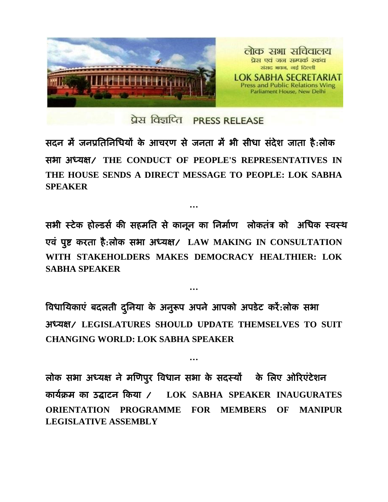

प्रेस विज्ञप्ति PRESS RELEASE

सदन में जनप्रतिनिधियों के आचरण से जनता में भी सीधा संदेश जाता है:लोक सबा अध्मऺ/ **THE CONDUCT OF PEOPLE'S REPRESENTATIVES IN THE HOUSE SENDS A DIRECT MESSAGE TO PEOPLE: LOK SABHA SPEAKER**

**…**

सभी स्टेक होल्डर्स की सहमति से कानून का निर्माण लोकतंत्र को अधिक स्वस्थ एवं पूष्ट करता है:लोक सभा अध्यक्ष / LAW MAKING IN CONSULTATION **WITH STAKEHOLDERS MAKES DEMOCRACY HEALTHIER: LOK SABHA SPEAKER**

विधायिकाए बदलती दुनिया के अनुरूप अपने आपको अपडेट करे:लोक सभा अध्मऺ/ **LEGISLATURES SHOULD UPDATE THEMSELVES TO SUIT CHANGING WORLD: LOK SABHA SPEAKER**

**…**

**…**

लोक सभा अध्यक्ष ने मणिपुर विधान सभा के सदस्यों के लिए ओरिएंटेशन कामसक्रभ का उद्घाटन ककमा / **LOK SABHA SPEAKER INAUGURATES ORIENTATION PROGRAMME FOR MEMBERS OF MANIPUR LEGISLATIVE ASSEMBLY**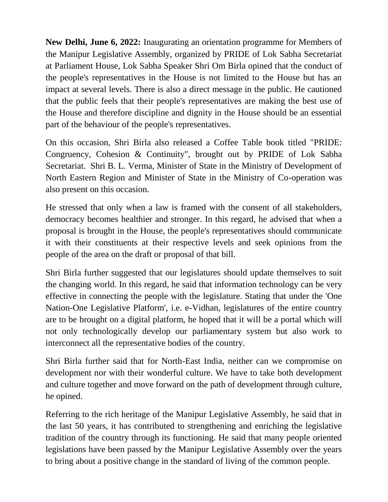**New Delhi, June 6, 2022:** Inaugurating an orientation programme for Members of the Manipur Legislative Assembly, organized by PRIDE of Lok Sabha Secretariat at Parliament House, Lok Sabha Speaker Shri Om Birla opined that the conduct of the people's representatives in the House is not limited to the House but has an impact at several levels. There is also a direct message in the public. He cautioned that the public feels that their people's representatives are making the best use of the House and therefore discipline and dignity in the House should be an essential part of the behaviour of the people's representatives.

On this occasion, Shri Birla also released a Coffee Table book titled "PRIDE: Congruency, Cohesion & Continuity", brought out by PRIDE of Lok Sabha Secretariat. Shri B. L. Verma, Minister of State in the Ministry of Development of North Eastern Region and Minister of State in the Ministry of Co-operation was also present on this occasion.

He stressed that only when a law is framed with the consent of all stakeholders, democracy becomes healthier and stronger. In this regard, he advised that when a proposal is brought in the House, the people's representatives should communicate it with their constituents at their respective levels and seek opinions from the people of the area on the draft or proposal of that bill.

Shri Birla further suggested that our legislatures should update themselves to suit the changing world. In this regard, he said that information technology can be very effective in connecting the people with the legislature. Stating that under the 'One Nation-One Legislative Platform', i.e. e-Vidhan, legislatures of the entire country are to be brought on a digital platform, he hoped that it will be a portal which will not only technologically develop our parliamentary system but also work to interconnect all the representative bodies of the country.

Shri Birla further said that for North-East India, neither can we compromise on development nor with their wonderful culture. We have to take both development and culture together and move forward on the path of development through culture, he opined.

Referring to the rich heritage of the Manipur Legislative Assembly, he said that in the last 50 years, it has contributed to strengthening and enriching the legislative tradition of the country through its functioning. He said that many people oriented legislations have been passed by the Manipur Legislative Assembly over the years to bring about a positive change in the standard of living of the common people.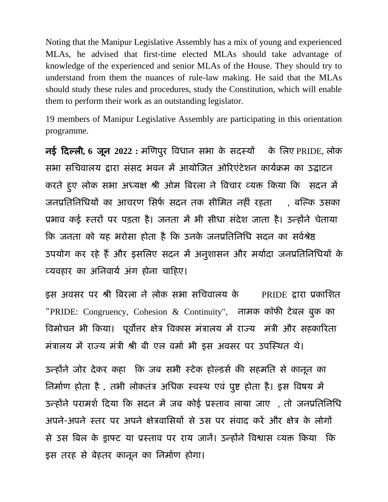Noting that the Manipur Legislative Assembly has a mix of young and experienced MLAs, he advised that first-time elected MLAs should take advantage of knowledge of the experienced and senior MLAs of the House. They should try to understand from them the nuances of rule-law making. He said that the MLAs should study these rules and procedures, study the Constitution, which will enable them to perform their work as an outstanding legislator.

19 members of Manipur Legislative Assembly are participating in this orientation programme.

नई कदल्री**, 6** जून **2022 :** भणणऩुय ववधान सबा के सदस्मों के तरए PRIDE, रोक सभा सचिवालय द्वारा संसद भवन में आयोजित ओरिएंटेशन कार्यक्रम का उद्घाटन कयिे हु ए रोक सबा अध्मऺ श्री ओभ वफयरा ने ववचाय व्मक्त ककमा कक सदन भें जनप्रतिनिधियों का आचरण सिर्फ सदन तक सीमित नहीं रहता जिल्कि उसका प्रभाव कई स्तरों पर पड़ता है। जनता में भी सीधा संदेश जाता है। उन्होंने चेताया कि जनता को यह भरोसा होता है कि उनके जनप्रतिनिधि सदन का सर्वश्रेष्ठ उपयोग कर रहे हैं और इसलिए सदन में अनुशासन और मर्यादा जनप्रतिनिधियों के व्यवहार का अनिवार्य अंग होना चाहिए।

इस अवसर पर श्री बिरला ने लोक सभा सचिवालय के PRIDE द्वारा प्रकाशित "PRIDE: Congruency, Cohesion & Continuity", नामक कॉफी टेबल बुक का विमोचन भी किया। पूर्वोत्तर क्षेत्र विकास मंत्रालय में राज्य मंत्री और सहकारिता मंत्रालय में राज्य मंत्री श्री बी एल वर्मा भी इस अवसर पर उपस्थित थे।

उन्होंने जोर देकर कहा कि जब सभी स्टेक होल्डर्स की सहमति से कानून का तिर्माण होता है, तभी लोकतंत्र अधिक स्वस्थ एवं पुष्ट होता है। इस विषय में उन्होंने परामर्श दिया कि सदन में जब कोई प्रस्ताव लाया जाए , तो जनप्रतिनिधि अपने-अपने स्तर पर अपने क्षेत्रवासियों से उस पर संवाद करें और क्षेत्र के लोगों से उस बिल के ड्राफ्ट या प्रस्ताव पर राय जानें। उन्होंने विश्वास व्यक्त किया कि इस तरह से बेहतर कानून का निर्माण होगा।